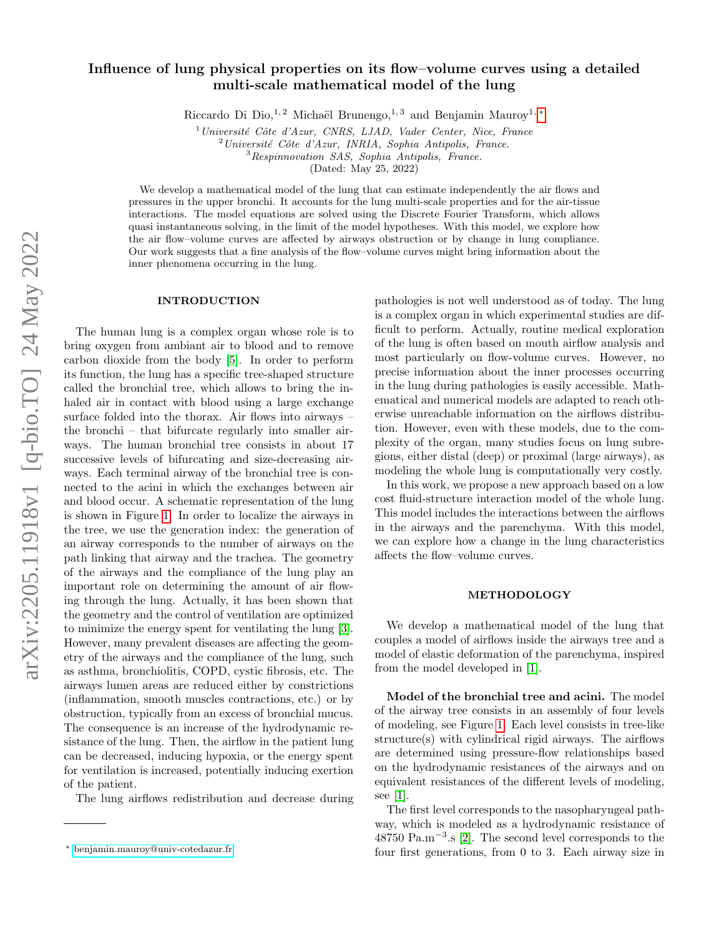## Influence of lung physical properties on its flow–volume curves using a detailed multi-scale mathematical model of the lung

Riccardo Di Dio,<sup>1, 2</sup> Michaël Brunengo,<sup>1, 3</sup> and Benjamin Mauroy<sup>1, \*</sup>

 $1$ Université Côte d'Azur, CNRS, LJAD, Vader Center, Nice, France

 $^{2}$ Université Côte d'Azur, INRIA, Sophia Antipolis, France.

<sup>3</sup>Respinnovation SAS, Sophia Antipolis, France.

(Dated: May 25, 2022)

We develop a mathematical model of the lung that can estimate independently the air flows and pressures in the upper bronchi. It accounts for the lung multi-scale properties and for the air-tissue interactions. The model equations are solved using the Discrete Fourier Transform, which allows quasi instantaneous solving, in the limit of the model hypotheses. With this model, we explore how the air flow–volume curves are affected by airways obstruction or by change in lung compliance. Our work suggests that a fine analysis of the flow–volume curves might bring information about the inner phenomena occurring in the lung.

## INTRODUCTION

The human lung is a complex organ whose role is to bring oxygen from ambiant air to blood and to remove carbon dioxide from the body [\[5\]](#page-3-0). In order to perform its function, the lung has a specific tree-shaped structure called the bronchial tree, which allows to bring the inhaled air in contact with blood using a large exchange surface folded into the thorax. Air flows into airways – the bronchi – that bifurcate regularly into smaller airways. The human bronchial tree consists in about 17 successive levels of bifurcating and size-decreasing airways. Each terminal airway of the bronchial tree is connected to the acini in which the exchanges between air and blood occur. A schematic representation of the lung is shown in Figure [1.](#page-1-0) In order to localize the airways in the tree, we use the generation index: the generation of an airway corresponds to the number of airways on the path linking that airway and the trachea. The geometry of the airways and the compliance of the lung play an important role on determining the amount of air flowing through the lung. Actually, it has been shown that the geometry and the control of ventilation are optimized to minimize the energy spent for ventilating the lung [\[3\]](#page-3-1). However, many prevalent diseases are affecting the geometry of the airways and the compliance of the lung, such as asthma, bronchiolitis, COPD, cystic fibrosis, etc. The airways lumen areas are reduced either by constrictions (inflammation, smooth muscles contractions, etc.) or by obstruction, typically from an excess of bronchial mucus. The consequence is an increase of the hydrodynamic resistance of the lung. Then, the airflow in the patient lung can be decreased, inducing hypoxia, or the energy spent for ventilation is increased, potentially inducing exertion of the patient.

The lung airflows redistribution and decrease during

pathologies is not well understood as of today. The lung is a complex organ in which experimental studies are difficult to perform. Actually, routine medical exploration of the lung is often based on mouth airflow analysis and most particularly on flow-volume curves. However, no precise information about the inner processes occurring in the lung during pathologies is easily accessible. Mathematical and numerical models are adapted to reach otherwise unreachable information on the airflows distribution. However, even with these models, due to the complexity of the organ, many studies focus on lung subregions, either distal (deep) or proximal (large airways), as modeling the whole lung is computationally very costly.

In this work, we propose a new approach based on a low cost fluid-structure interaction model of the whole lung. This model includes the interactions between the airflows in the airways and the parenchyma. With this model, we can explore how a change in the lung characteristics affects the flow–volume curves.

## METHODOLOGY

We develop a mathematical model of the lung that couples a model of airflows inside the airways tree and a model of elastic deformation of the parenchyma, inspired from the model developed in [\[1\]](#page-3-2).

Model of the bronchial tree and acini. The model of the airway tree consists in an assembly of four levels of modeling, see Figure [1.](#page-1-0) Each level consists in tree-like structure(s) with cylindrical rigid airways. The airflows are determined using pressure-flow relationships based on the hydrodynamic resistances of the airways and on equivalent resistances of the different levels of modeling, see [\[1\]](#page-3-2).

The first level corresponds to the nasopharyngeal pathway, which is modeled as a hydrodynamic resistance of 48750 Pa.m<sup>−</sup><sup>3</sup> .s [\[2\]](#page-3-3). The second level corresponds to the four first generations, from 0 to 3. Each airway size in

<span id="page-0-0"></span><sup>∗</sup> [benjamin.mauroy@univ-cotedazur.fr](mailto:benjamin.mauroy@univ-cotedazur.fr)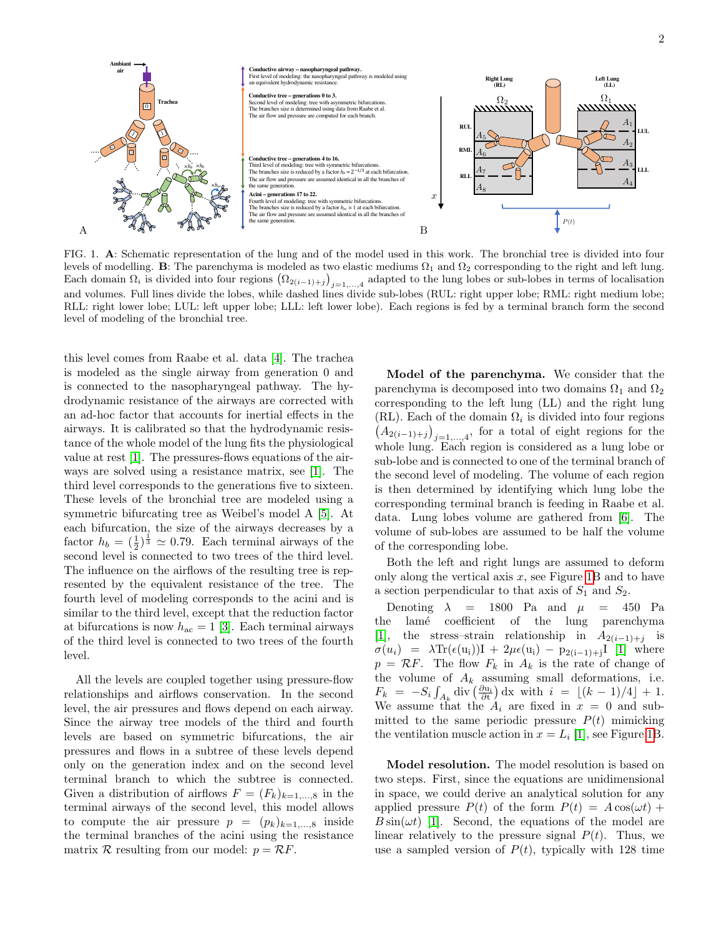

<span id="page-1-0"></span>FIG. 1. A: Schematic representation of the lung and of the model used in this work. The bronchial tree is divided into four levels of modelling. B: The parenchyma is modeled as two elastic mediums  $\Omega_1$  and  $\Omega_2$  corresponding to the right and left lung. Each domain  $\Omega_i$  is divided into four regions  $(\Omega_{2(i-1)+j})_{j=1,\ldots,4}$  adapted to the lung lobes or sub-lobes in terms of localisation and volumes. Full lines divide the lobes, while dashed lines divide sub-lobes (RUL: right upper lobe; RML: right medium lobe; RLL: right lower lobe; LUL: left upper lobe; LLL: left lower lobe). Each regions is fed by a terminal branch form the second level of modeling of the bronchial tree.

this level comes from Raabe et al. data [\[4\]](#page-3-4). The trachea is modeled as the single airway from generation 0 and is connected to the nasopharyngeal pathway. The hydrodynamic resistance of the airways are corrected with an ad-hoc factor that accounts for inertial effects in the airways. It is calibrated so that the hydrodynamic resistance of the whole model of the lung fits the physiological value at rest [\[1\]](#page-3-2). The pressures-flows equations of the airways are solved using a resistance matrix, see [\[1\]](#page-3-2). The third level corresponds to the generations five to sixteen. These levels of the bronchial tree are modeled using a symmetric bifurcating tree as Weibel's model A [\[5\]](#page-3-0). At each bifurcation, the size of the airways decreases by a factor  $h_b = \left(\frac{1}{2}\right)^{\frac{1}{3}} \approx 0.79$ . Each terminal airways of the second level is connected to two trees of the third level. The influence on the airflows of the resulting tree is represented by the equivalent resistance of the tree. The fourth level of modeling corresponds to the acini and is similar to the third level, except that the reduction factor at bifurcations is now  $h_{\text{ac}} = 1$  [\[3\]](#page-3-1). Each terminal airways of the third level is connected to two trees of the fourth level.

All the levels are coupled together using pressure-flow relationships and airflows conservation. In the second level, the air pressures and flows depend on each airway. Since the airway tree models of the third and fourth levels are based on symmetric bifurcations, the air pressures and flows in a subtree of these levels depend only on the generation index and on the second level terminal branch to which the subtree is connected. Given a distribution of airflows  $F = (F_k)_{k=1,\dots,8}$  in the terminal airways of the second level, this model allows to compute the air pressure  $p = (p_k)_{k=1,\dots,8}$  inside the terminal branches of the acini using the resistance matrix R resulting from our model:  $p = RF$ .

Model of the parenchyma. We consider that the parenchyma is decomposed into two domains  $\Omega_1$  and  $\Omega_2$ corresponding to the left lung (LL) and the right lung (RL). Each of the domain  $\Omega_i$  is divided into four regions  $(A_{2(i-1)+j})_{j=1,\ldots,4}$ , for a total of eight regions for the whole lung. Each region is considered as a lung lobe or sub-lobe and is connected to one of the terminal branch of the second level of modeling. The volume of each region is then determined by identifying which lung lobe the corresponding terminal branch is feeding in Raabe et al. data. Lung lobes volume are gathered from [\[6\]](#page-3-5). The volume of sub-lobes are assumed to be half the volume of the corresponding lobe.

Both the left and right lungs are assumed to deform only along the vertical axis  $x$ , see Figure [1B](#page-1-0) and to have a section perpendicular to that axis of  $S_1$  and  $S_2$ .

Denoting  $\lambda$  = 1800 Pa and  $\mu$  = 450 Pa the lamé coefficient of the lung parenchyma [\[1\]](#page-3-2), the stress–strain relationship in  $A_{2(i-1)+j}$  is  $\sigma(u_i) = \lambda \text{Tr}(\epsilon(u_i))I + 2\mu \epsilon(u_i) - p_{2(i-1)+j}I$  [\[1\]](#page-3-2) where  $p = \mathcal{R}F$ . The flow  $F_k$  in  $A_k$  is the rate of change of the volume of  $A_k$  assuming small deformations, i.e.  $F_k = -S_i \int_{A_k} \text{div} \left( \frac{\partial u_i}{\partial t} \right) dx$  with  $i = \lfloor (k-1)/4 \rfloor + 1$ . We assume that the  $A_i$  are fixed in  $x = 0$  and submitted to the same periodic pressure  $P(t)$  mimicking the ventilation muscle action in  $x = L_i$  [\[1\]](#page-3-2), see Figure [1B](#page-1-0).

Model resolution. The model resolution is based on two steps. First, since the equations are unidimensional in space, we could derive an analytical solution for any applied pressure  $P(t)$  of the form  $P(t) = A \cos(\omega t) +$  $B\sin(\omega t)$  [\[1\]](#page-3-2). Second, the equations of the model are linear relatively to the pressure signal  $P(t)$ . Thus, we use a sampled version of  $P(t)$ , typically with 128 time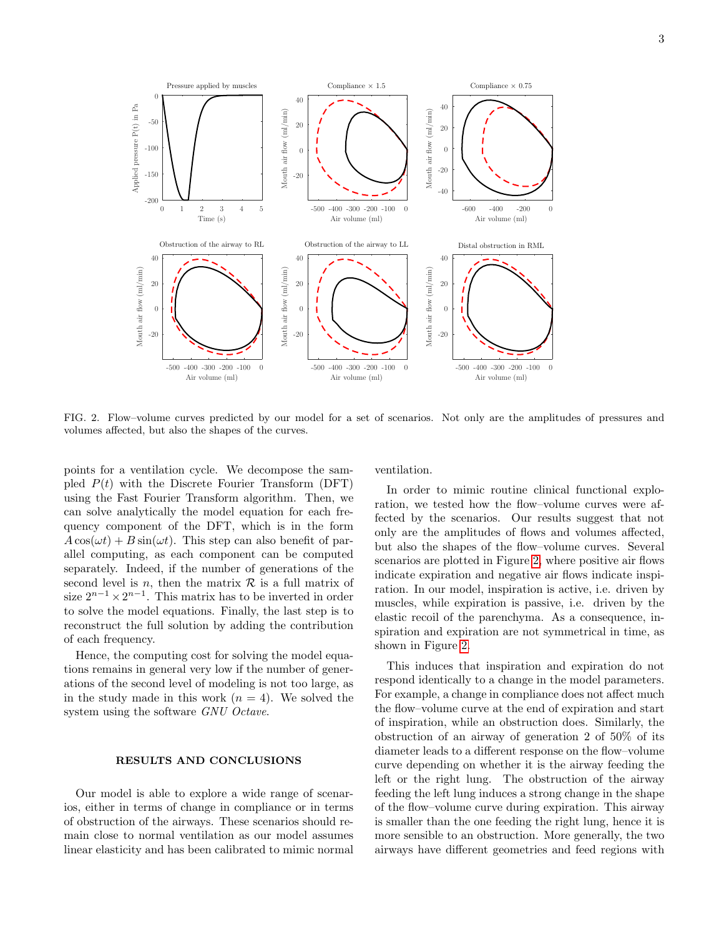

<span id="page-2-0"></span>FIG. 2. Flow–volume curves predicted by our model for a set of scenarios. Not only are the amplitudes of pressures and volumes affected, but also the shapes of the curves.

points for a ventilation cycle. We decompose the sampled  $P(t)$  with the Discrete Fourier Transform (DFT) using the Fast Fourier Transform algorithm. Then, we can solve analytically the model equation for each frequency component of the DFT, which is in the form  $A\cos(\omega t) + B\sin(\omega t)$ . This step can also benefit of parallel computing, as each component can be computed separately. Indeed, if the number of generations of the second level is n, then the matrix  $R$  is a full matrix of size  $2^{n-1} \times 2^{n-1}$ . This matrix has to be inverted in order to solve the model equations. Finally, the last step is to reconstruct the full solution by adding the contribution of each frequency.

Hence, the computing cost for solving the model equations remains in general very low if the number of generations of the second level of modeling is not too large, as in the study made in this work  $(n = 4)$ . We solved the system using the software GNU Octave.

## RESULTS AND CONCLUSIONS

Our model is able to explore a wide range of scenarios, either in terms of change in compliance or in terms of obstruction of the airways. These scenarios should remain close to normal ventilation as our model assumes linear elasticity and has been calibrated to mimic normal ventilation.

In order to mimic routine clinical functional exploration, we tested how the flow–volume curves were affected by the scenarios. Our results suggest that not only are the amplitudes of flows and volumes affected, but also the shapes of the flow–volume curves. Several scenarios are plotted in Figure [2,](#page-2-0) where positive air flows indicate expiration and negative air flows indicate inspiration. In our model, inspiration is active, i.e. driven by muscles, while expiration is passive, i.e. driven by the elastic recoil of the parenchyma. As a consequence, inspiration and expiration are not symmetrical in time, as shown in Figure [2.](#page-2-0)

This induces that inspiration and expiration do not respond identically to a change in the model parameters. For example, a change in compliance does not affect much the flow–volume curve at the end of expiration and start of inspiration, while an obstruction does. Similarly, the obstruction of an airway of generation 2 of 50% of its diameter leads to a different response on the flow–volume curve depending on whether it is the airway feeding the left or the right lung. The obstruction of the airway feeding the left lung induces a strong change in the shape of the flow–volume curve during expiration. This airway is smaller than the one feeding the right lung, hence it is more sensible to an obstruction. More generally, the two airways have different geometries and feed regions with